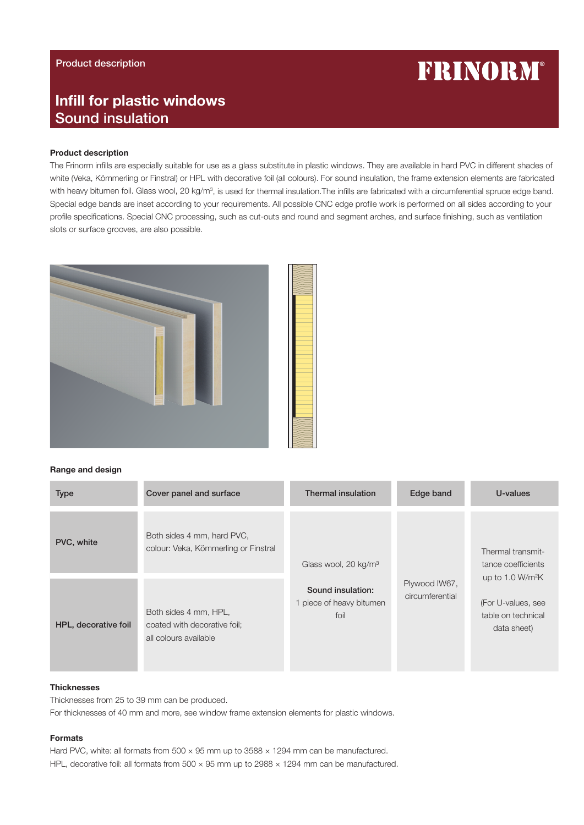# Product description

# **FRINORM®**

# Infill for plastic windows Sound insulation

#### Product description

The Frinorm infills are especially suitable for use as a glass substitute in plastic windows. They are available in hard PVC in different shades of white (Veka, Kömmerling or Finstral) or HPL with decorative foil (all colours). For sound insulation, the frame extension elements are fabricated with heavy bitumen foil. Glass wool, 20 kg/m<sup>3</sup>, is used for thermal insulation.The infills are fabricated with a circumferential spruce edge band. Special edge bands are inset according to your requirements. All possible CNC edge profile work is performed on all sides according to your profile specifications. Special CNC processing, such as cut-outs and round and segment arches, and surface finishing, such as ventilation slots or surface grooves, are also possible.



#### Range and design

| <b>Type</b>          | Cover panel and surface                                                        | <b>Thermal insulation</b>                             | Edge band                        | U-values                                                                                                                 |
|----------------------|--------------------------------------------------------------------------------|-------------------------------------------------------|----------------------------------|--------------------------------------------------------------------------------------------------------------------------|
| PVC, white           | Both sides 4 mm, hard PVC,<br>colour: Veka, Kömmerling or Finstral             | Glass wool, 20 kg/m <sup>3</sup>                      | Plywood IW67,<br>circumferential | Thermal transmit-<br>tance coefficients<br>up to 1.0 $W/m^2K$<br>(For U-values, see<br>table on technical<br>data sheet) |
| HPL, decorative foil | Both sides 4 mm, HPL,<br>coated with decorative foil;<br>all colours available | Sound insulation:<br>1 piece of heavy bitumen<br>foil |                                  |                                                                                                                          |

#### **Thicknesses**

Thicknesses from 25 to 39 mm can be produced.

For thicknesses of 40 mm and more, see window frame extension elements for plastic windows.

### Formats

Hard PVC, white: all formats from  $500 \times 95$  mm up to  $3588 \times 1294$  mm can be manufactured.

HPL, decorative foil: all formats from  $500 \times 95$  mm up to 2988  $\times$  1294 mm can be manufactured.